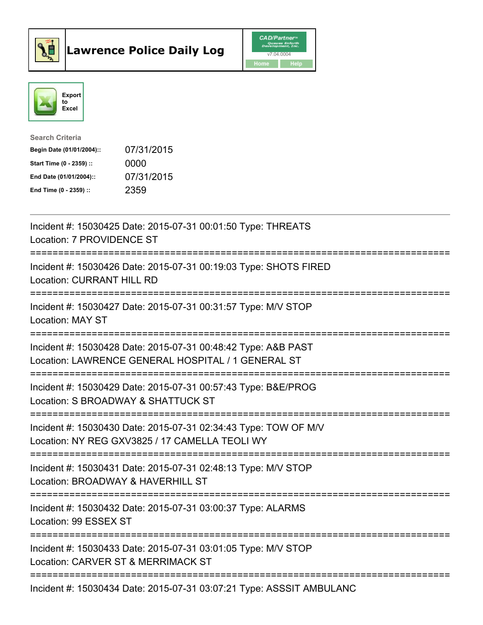



| <b>Search Criteria</b>    |            |
|---------------------------|------------|
| Begin Date (01/01/2004):: | 07/31/2015 |
| Start Time (0 - 2359) ::  | 0000       |
| End Date (01/01/2004)::   | 07/31/2015 |
| End Time $(0 - 2359)$ :   | 2359       |

| Incident #: 15030425 Date: 2015-07-31 00:01:50 Type: THREATS<br>Location: 7 PROVIDENCE ST                                                             |
|-------------------------------------------------------------------------------------------------------------------------------------------------------|
| Incident #: 15030426 Date: 2015-07-31 00:19:03 Type: SHOTS FIRED<br><b>Location: CURRANT HILL RD</b>                                                  |
| Incident #: 15030427 Date: 2015-07-31 00:31:57 Type: M/V STOP<br>Location: MAY ST                                                                     |
| Incident #: 15030428 Date: 2015-07-31 00:48:42 Type: A&B PAST<br>Location: LAWRENCE GENERAL HOSPITAL / 1 GENERAL ST                                   |
| Incident #: 15030429 Date: 2015-07-31 00:57:43 Type: B&E/PROG<br>Location: S BROADWAY & SHATTUCK ST<br>-------------------------                      |
| Incident #: 15030430 Date: 2015-07-31 02:34:43 Type: TOW OF M/V<br>Location: NY REG GXV3825 / 17 CAMELLA TEOLI WY<br>-------------------------------- |
| Incident #: 15030431 Date: 2015-07-31 02:48:13 Type: M/V STOP<br>Location: BROADWAY & HAVERHILL ST<br>==========================                      |
| Incident #: 15030432 Date: 2015-07-31 03:00:37 Type: ALARMS<br>Location: 99 ESSEX ST<br>----------------<br>---------------------                     |
| Incident #: 15030433 Date: 2015-07-31 03:01:05 Type: M/V STOP<br>Location: CARVER ST & MERRIMACK ST                                                   |
| Incident #: 15030434 Date: 2015-07-31 03:07:21 Type: ASSSIT AMBULANC                                                                                  |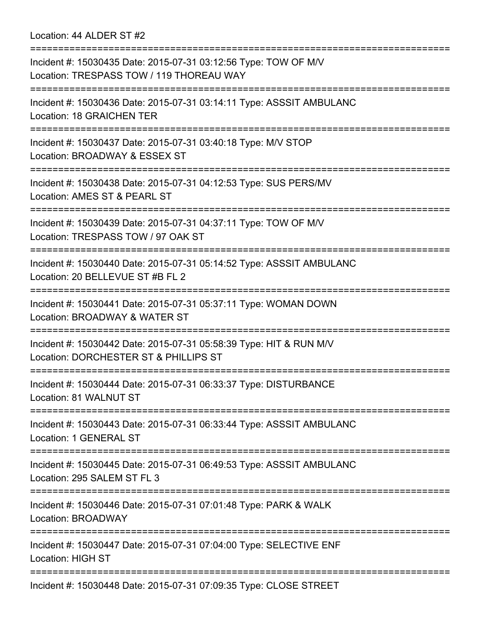Location: 44 ALDER ST #2

=========================================================================== Incident #: 15030435 Date: 2015-07-31 03:12:56 Type: TOW OF M/V Location: TRESPASS TOW / 119 THOREAU WAY =========================================================================== Incident #: 15030436 Date: 2015-07-31 03:14:11 Type: ASSSIT AMBULANC Location: 18 GRAICHEN TER =========================================================================== Incident #: 15030437 Date: 2015-07-31 03:40:18 Type: M/V STOP Location: BROADWAY & ESSEX ST =========================================================================== Incident #: 15030438 Date: 2015-07-31 04:12:53 Type: SUS PERS/MV Location: AMES ST & PEARL ST =========================================================================== Incident #: 15030439 Date: 2015-07-31 04:37:11 Type: TOW OF M/V Location: TRESPASS TOW / 97 OAK ST =========================================================================== Incident #: 15030440 Date: 2015-07-31 05:14:52 Type: ASSSIT AMBULANC Location: 20 BELLEVUE ST #B FL 2 =========================================================================== Incident #: 15030441 Date: 2015-07-31 05:37:11 Type: WOMAN DOWN Location: BROADWAY & WATER ST =========================================================================== Incident #: 15030442 Date: 2015-07-31 05:58:39 Type: HIT & RUN M/V Location: DORCHESTER ST & PHILLIPS ST =========================================================================== Incident #: 15030444 Date: 2015-07-31 06:33:37 Type: DISTURBANCE Location: 81 WALNUT ST =========================================================================== Incident #: 15030443 Date: 2015-07-31 06:33:44 Type: ASSSIT AMBULANC Location: 1 GENERAL ST =========================================================================== Incident #: 15030445 Date: 2015-07-31 06:49:53 Type: ASSSIT AMBULANC Location: 295 SALEM ST FL 3 =========================================================================== Incident #: 15030446 Date: 2015-07-31 07:01:48 Type: PARK & WALK Location: BROADWAY =========================================================================== Incident #: 15030447 Date: 2015-07-31 07:04:00 Type: SELECTIVE ENF Location: HIGH ST =========================================================================== Incident #: 15030448 Date: 2015-07-31 07:09:35 Type: CLOSE STREET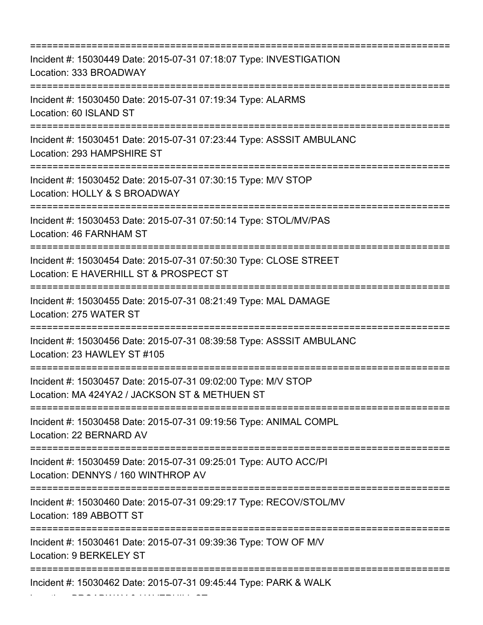| Incident #: 15030449 Date: 2015-07-31 07:18:07 Type: INVESTIGATION<br>Location: 333 BROADWAY<br>================================              |
|-----------------------------------------------------------------------------------------------------------------------------------------------|
| Incident #: 15030450 Date: 2015-07-31 07:19:34 Type: ALARMS<br>Location: 60 ISLAND ST                                                         |
| Incident #: 15030451 Date: 2015-07-31 07:23:44 Type: ASSSIT AMBULANC<br>Location: 293 HAMPSHIRE ST<br>:===================                    |
| Incident #: 15030452 Date: 2015-07-31 07:30:15 Type: M/V STOP<br>Location: HOLLY & S BROADWAY                                                 |
| Incident #: 15030453 Date: 2015-07-31 07:50:14 Type: STOL/MV/PAS<br>Location: 46 FARNHAM ST                                                   |
| ==============================<br>Incident #: 15030454 Date: 2015-07-31 07:50:30 Type: CLOSE STREET<br>Location: E HAVERHILL ST & PROSPECT ST |
| Incident #: 15030455 Date: 2015-07-31 08:21:49 Type: MAL DAMAGE<br>Location: 275 WATER ST                                                     |
| Incident #: 15030456 Date: 2015-07-31 08:39:58 Type: ASSSIT AMBULANC<br>Location: 23 HAWLEY ST #105                                           |
| ===========================<br>Incident #: 15030457 Date: 2015-07-31 09:02:00 Type: M/V STOP<br>Location: MA 424YA2 / JACKSON ST & METHUEN ST |
| Incident #: 15030458 Date: 2015-07-31 09:19:56 Type: ANIMAL COMPL<br>Location: 22 BERNARD AV                                                  |
| Incident #: 15030459 Date: 2015-07-31 09:25:01 Type: AUTO ACC/PI<br>Location: DENNYS / 160 WINTHROP AV                                        |
| Incident #: 15030460 Date: 2015-07-31 09:29:17 Type: RECOV/STOL/MV<br>Location: 189 ABBOTT ST                                                 |
| Incident #: 15030461 Date: 2015-07-31 09:39:36 Type: TOW OF M/V<br>Location: 9 BERKELEY ST                                                    |
| Incident #: 15030462 Date: 2015-07-31 09:45:44 Type: PARK & WALK                                                                              |

Location: BROADWAY & HAVERHILL ST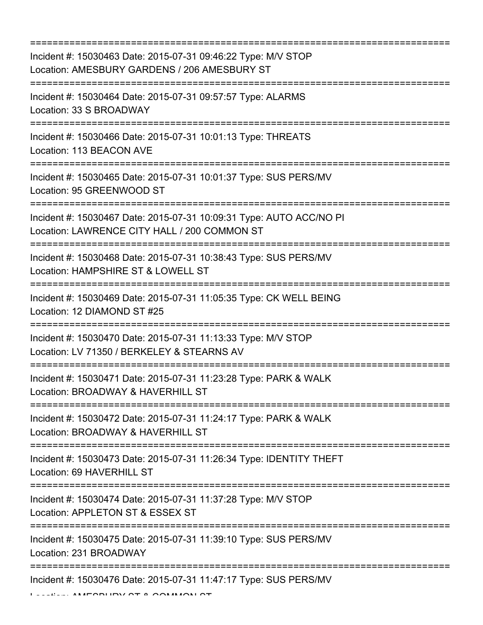| =============================                                                                                                                                                         |
|---------------------------------------------------------------------------------------------------------------------------------------------------------------------------------------|
| Incident #: 15030463 Date: 2015-07-31 09:46:22 Type: M/V STOP<br>Location: AMESBURY GARDENS / 206 AMESBURY ST<br>===============================<br>================================= |
| Incident #: 15030464 Date: 2015-07-31 09:57:57 Type: ALARMS<br>Location: 33 S BROADWAY                                                                                                |
| Incident #: 15030466 Date: 2015-07-31 10:01:13 Type: THREATS<br>Location: 113 BEACON AVE<br>=================================                                                         |
| Incident #: 15030465 Date: 2015-07-31 10:01:37 Type: SUS PERS/MV<br>Location: 95 GREENWOOD ST                                                                                         |
| Incident #: 15030467 Date: 2015-07-31 10:09:31 Type: AUTO ACC/NO PI<br>Location: LAWRENCE CITY HALL / 200 COMMON ST<br>-----------------------------------                            |
| Incident #: 15030468 Date: 2015-07-31 10:38:43 Type: SUS PERS/MV<br>Location: HAMPSHIRE ST & LOWELL ST                                                                                |
| Incident #: 15030469 Date: 2015-07-31 11:05:35 Type: CK WELL BEING<br>Location: 12 DIAMOND ST #25<br>:===================================                                             |
| Incident #: 15030470 Date: 2015-07-31 11:13:33 Type: M/V STOP<br>Location: LV 71350 / BERKELEY & STEARNS AV                                                                           |
| Incident #: 15030471 Date: 2015-07-31 11:23:28 Type: PARK & WALK<br>Location: BROADWAY & HAVERHILL ST                                                                                 |
| Incident #: 15030472 Date: 2015-07-31 11:24:17 Type: PARK & WALK<br>Location: BROADWAY & HAVERHILL ST                                                                                 |
| Incident #: 15030473 Date: 2015-07-31 11:26:34 Type: IDENTITY THEFT<br>Location: 69 HAVERHILL ST<br>=======================                                                           |
| Incident #: 15030474 Date: 2015-07-31 11:37:28 Type: M/V STOP<br>Location: APPLETON ST & ESSEX ST                                                                                     |
| Incident #: 15030475 Date: 2015-07-31 11:39:10 Type: SUS PERS/MV<br>Location: 231 BROADWAY<br>========================                                                                |
| Incident #: 15030476 Date: 2015-07-31 11:47:17 Type: SUS PERS/MV                                                                                                                      |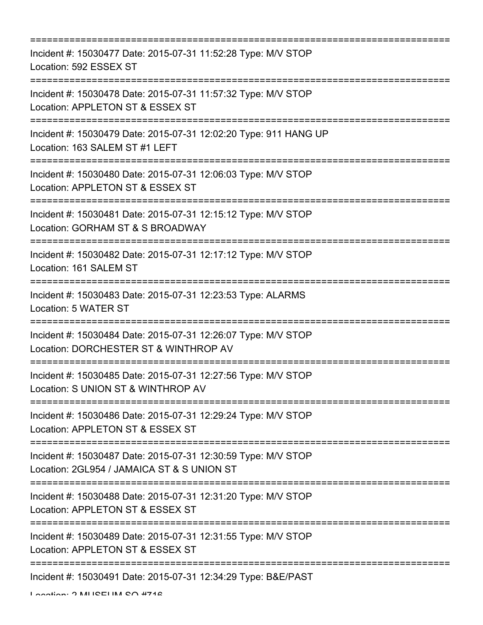| ;=======================                                                                                                           |
|------------------------------------------------------------------------------------------------------------------------------------|
| Incident #: 15030477 Date: 2015-07-31 11:52:28 Type: M/V STOP<br>Location: 592 ESSEX ST                                            |
| Incident #: 15030478 Date: 2015-07-31 11:57:32 Type: M/V STOP<br>Location: APPLETON ST & ESSEX ST                                  |
| :===========================<br>Incident #: 15030479 Date: 2015-07-31 12:02:20 Type: 911 HANG UP<br>Location: 163 SALEM ST #1 LEFT |
| Incident #: 15030480 Date: 2015-07-31 12:06:03 Type: M/V STOP<br>Location: APPLETON ST & ESSEX ST                                  |
| Incident #: 15030481 Date: 2015-07-31 12:15:12 Type: M/V STOP<br>Location: GORHAM ST & S BROADWAY                                  |
| ========================<br>Incident #: 15030482 Date: 2015-07-31 12:17:12 Type: M/V STOP<br>Location: 161 SALEM ST                |
| Incident #: 15030483 Date: 2015-07-31 12:23:53 Type: ALARMS<br>Location: 5 WATER ST                                                |
| Incident #: 15030484 Date: 2015-07-31 12:26:07 Type: M/V STOP<br>Location: DORCHESTER ST & WINTHROP AV                             |
| Incident #: 15030485 Date: 2015-07-31 12:27:56 Type: M/V STOP<br>Location: S UNION ST & WINTHROP AV                                |
| Incident #: 15030486 Date: 2015-07-31 12:29:24 Type: M/V STOP<br>Location: APPLETON ST & ESSEX ST                                  |
| Incident #: 15030487 Date: 2015-07-31 12:30:59 Type: M/V STOP<br>Location: 2GL954 / JAMAICA ST & S UNION ST                        |
| Incident #: 15030488 Date: 2015-07-31 12:31:20 Type: M/V STOP<br>Location: APPLETON ST & ESSEX ST                                  |
| Incident #: 15030489 Date: 2015-07-31 12:31:55 Type: M/V STOP<br>Location: APPLETON ST & ESSEX ST                                  |
| Incident #: 15030491 Date: 2015-07-31 12:34:29 Type: B&E/PAST                                                                      |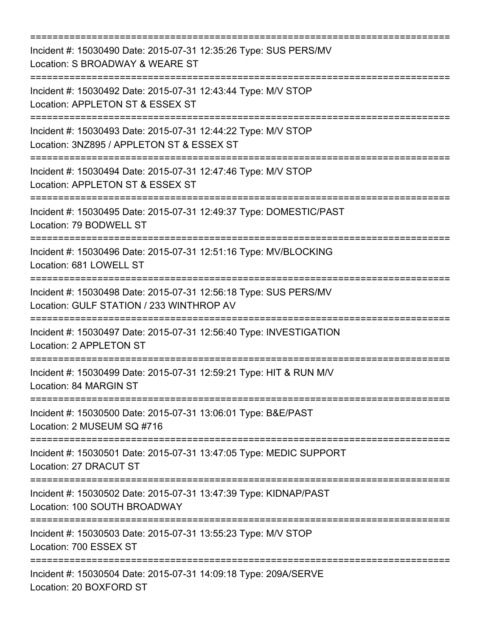=========================================================================== Incident #: 15030490 Date: 2015-07-31 12:35:26 Type: SUS PERS/MV Location: S BROADWAY & WEARE ST =========================================================================== Incident #: 15030492 Date: 2015-07-31 12:43:44 Type: M/V STOP Location: APPLETON ST & ESSEX ST =========================================================================== Incident #: 15030493 Date: 2015-07-31 12:44:22 Type: M/V STOP Location: 3NZ895 / APPLETON ST & ESSEX ST =========================================================================== Incident #: 15030494 Date: 2015-07-31 12:47:46 Type: M/V STOP Location: APPLETON ST & ESSEX ST =========================================================================== Incident #: 15030495 Date: 2015-07-31 12:49:37 Type: DOMESTIC/PAST Location: 79 BODWELL ST =========================================================================== Incident #: 15030496 Date: 2015-07-31 12:51:16 Type: MV/BLOCKING Location: 681 LOWELL ST =========================================================================== Incident #: 15030498 Date: 2015-07-31 12:56:18 Type: SUS PERS/MV Location: GULF STATION / 233 WINTHROP AV =========================================================================== Incident #: 15030497 Date: 2015-07-31 12:56:40 Type: INVESTIGATION Location: 2 APPLETON ST =========================================================================== Incident #: 15030499 Date: 2015-07-31 12:59:21 Type: HIT & RUN M/V Location: 84 MARGIN ST =========================================================================== Incident #: 15030500 Date: 2015-07-31 13:06:01 Type: B&E/PAST Location: 2 MUSEUM SQ #716 =========================================================================== Incident #: 15030501 Date: 2015-07-31 13:47:05 Type: MEDIC SUPPORT Location: 27 DRACUT ST =========================================================================== Incident #: 15030502 Date: 2015-07-31 13:47:39 Type: KIDNAP/PAST Location: 100 SOUTH BROADWAY =========================================================================== Incident #: 15030503 Date: 2015-07-31 13:55:23 Type: M/V STOP Location: 700 ESSEX ST =========================================================================== Incident #: 15030504 Date: 2015-07-31 14:09:18 Type: 209A/SERVE Location: 20 BOXFORD ST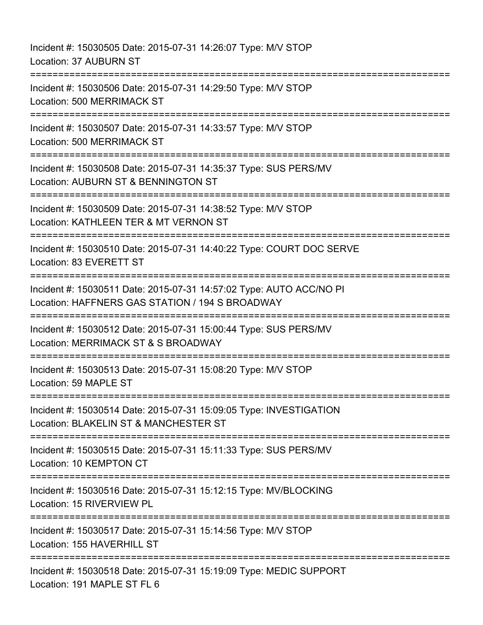Incident #: 15030505 Date: 2015-07-31 14:26:07 Type: M/V STOP Location: 37 AUBURN ST =========================================================================== Incident #: 15030506 Date: 2015-07-31 14:29:50 Type: M/V STOP Location: 500 MERRIMACK ST =========================================================================== Incident #: 15030507 Date: 2015-07-31 14:33:57 Type: M/V STOP Location: 500 MERRIMACK ST =========================================================================== Incident #: 15030508 Date: 2015-07-31 14:35:37 Type: SUS PERS/MV Location: AUBURN ST & BENNINGTON ST =========================================================================== Incident #: 15030509 Date: 2015-07-31 14:38:52 Type: M/V STOP Location: KATHLEEN TER & MT VERNON ST =========================================================================== Incident #: 15030510 Date: 2015-07-31 14:40:22 Type: COURT DOC SERVE Location: 83 EVERETT ST =========================================================================== Incident #: 15030511 Date: 2015-07-31 14:57:02 Type: AUTO ACC/NO PI Location: HAFFNERS GAS STATION / 194 S BROADWAY =========================================================================== Incident #: 15030512 Date: 2015-07-31 15:00:44 Type: SUS PERS/MV Location: MERRIMACK ST & S BROADWAY =========================================================================== Incident #: 15030513 Date: 2015-07-31 15:08:20 Type: M/V STOP Location: 59 MAPLE ST =========================================================================== Incident #: 15030514 Date: 2015-07-31 15:09:05 Type: INVESTIGATION Location: BLAKELIN ST & MANCHESTER ST =========================================================================== Incident #: 15030515 Date: 2015-07-31 15:11:33 Type: SUS PERS/MV Location: 10 KEMPTON CT =========================================================================== Incident #: 15030516 Date: 2015-07-31 15:12:15 Type: MV/BLOCKING Location: 15 RIVERVIEW PL =========================================================================== Incident #: 15030517 Date: 2015-07-31 15:14:56 Type: M/V STOP Location: 155 HAVERHILL ST ============================= Incident #: 15030518 Date: 2015-07-31 15:19:09 Type: MEDIC SUPPORT Location: 191 MAPLE ST FL 6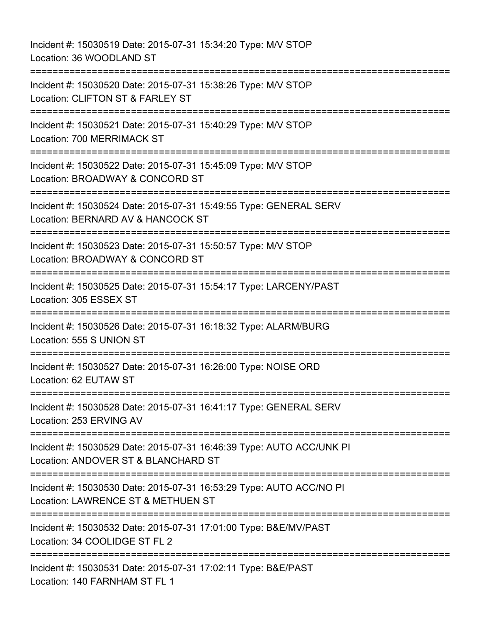Incident #: 15030519 Date: 2015-07-31 15:34:20 Type: M/V STOP Location: 36 WOODLAND ST =========================================================================== Incident #: 15030520 Date: 2015-07-31 15:38:26 Type: M/V STOP Location: CLIFTON ST & FARLEY ST =========================================================================== Incident #: 15030521 Date: 2015-07-31 15:40:29 Type: M/V STOP Location: 700 MERRIMACK ST =========================================================================== Incident #: 15030522 Date: 2015-07-31 15:45:09 Type: M/V STOP Location: BROADWAY & CONCORD ST =========================================================================== Incident #: 15030524 Date: 2015-07-31 15:49:55 Type: GENERAL SERV Location: BERNARD AV & HANCOCK ST =========================================================================== Incident #: 15030523 Date: 2015-07-31 15:50:57 Type: M/V STOP Location: BROADWAY & CONCORD ST =========================================================================== Incident #: 15030525 Date: 2015-07-31 15:54:17 Type: LARCENY/PAST Location: 305 ESSEX ST =========================================================================== Incident #: 15030526 Date: 2015-07-31 16:18:32 Type: ALARM/BURG Location: 555 S UNION ST =========================================================================== Incident #: 15030527 Date: 2015-07-31 16:26:00 Type: NOISE ORD Location: 62 EUTAW ST =========================================================================== Incident #: 15030528 Date: 2015-07-31 16:41:17 Type: GENERAL SERV Location: 253 ERVING AV =========================================================================== Incident #: 15030529 Date: 2015-07-31 16:46:39 Type: AUTO ACC/UNK PI Location: ANDOVER ST & BLANCHARD ST =========================================================================== Incident #: 15030530 Date: 2015-07-31 16:53:29 Type: AUTO ACC/NO PI Location: LAWRENCE ST & METHUEN ST =========================================================================== Incident #: 15030532 Date: 2015-07-31 17:01:00 Type: B&E/MV/PAST Location: 34 COOLIDGE ST FL 2 =========================================================================== Incident #: 15030531 Date: 2015-07-31 17:02:11 Type: B&E/PAST Location: 140 FARNHAM ST FL 1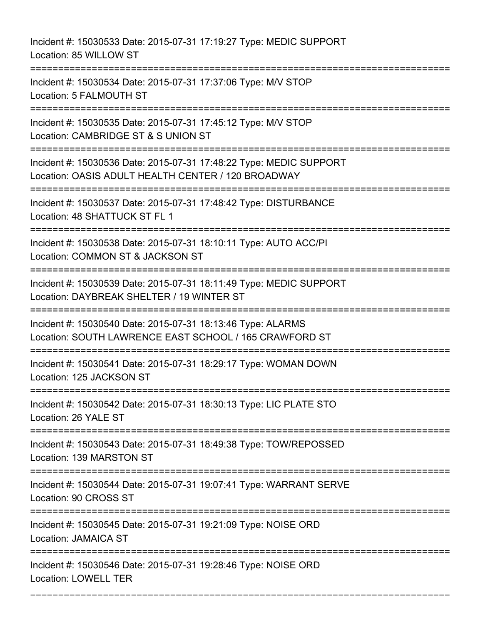Incident #: 15030533 Date: 2015-07-31 17:19:27 Type: MEDIC SUPPORT Location: 85 WILLOW ST

=========================================================================== Incident #: 15030534 Date: 2015-07-31 17:37:06 Type: M/V STOP Location: 5 FALMOUTH ST =========================================================================== Incident #: 15030535 Date: 2015-07-31 17:45:12 Type: M/V STOP Location: CAMBRIDGE ST & S UNION ST =========================================================================== Incident #: 15030536 Date: 2015-07-31 17:48:22 Type: MEDIC SUPPORT Location: OASIS ADULT HEALTH CENTER / 120 BROADWAY =========================================================================== Incident #: 15030537 Date: 2015-07-31 17:48:42 Type: DISTURBANCE Location: 48 SHATTUCK ST FL 1 =========================================================================== Incident #: 15030538 Date: 2015-07-31 18:10:11 Type: AUTO ACC/PI Location: COMMON ST & JACKSON ST =========================================================================== Incident #: 15030539 Date: 2015-07-31 18:11:49 Type: MEDIC SUPPORT Location: DAYBREAK SHELTER / 19 WINTER ST =========================================================================== Incident #: 15030540 Date: 2015-07-31 18:13:46 Type: ALARMS Location: SOUTH LAWRENCE EAST SCHOOL / 165 CRAWFORD ST =========================================================================== Incident #: 15030541 Date: 2015-07-31 18:29:17 Type: WOMAN DOWN Location: 125 JACKSON ST =========================================================================== Incident #: 15030542 Date: 2015-07-31 18:30:13 Type: LIC PLATE STO Location: 26 YALE ST =========================================================================== Incident #: 15030543 Date: 2015-07-31 18:49:38 Type: TOW/REPOSSED Location: 139 MARSTON ST =========================================================================== Incident #: 15030544 Date: 2015-07-31 19:07:41 Type: WARRANT SERVE Location: 90 CROSS ST =========================================================================== Incident #: 15030545 Date: 2015-07-31 19:21:09 Type: NOISE ORD Location: JAMAICA ST =========================================================================== Incident #: 15030546 Date: 2015-07-31 19:28:46 Type: NOISE ORD Location: LOWELL TER

===========================================================================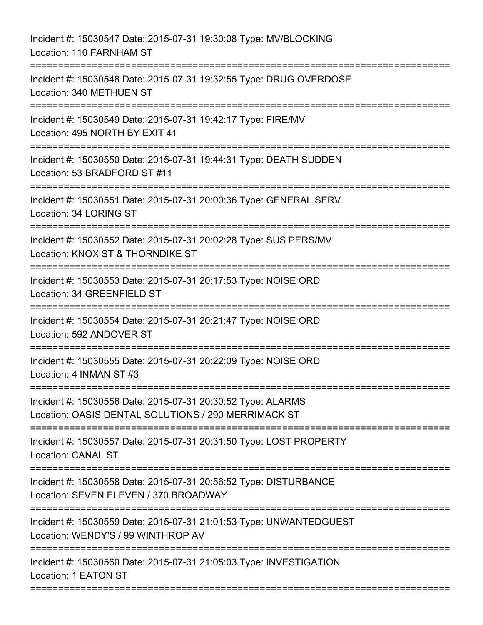Incident #: 15030547 Date: 2015-07-31 19:30:08 Type: MV/BLOCKING Location: 110 FARNHAM ST =========================================================================== Incident #: 15030548 Date: 2015-07-31 19:32:55 Type: DRUG OVERDOSE Location: 340 METHUEN ST =========================================================================== Incident #: 15030549 Date: 2015-07-31 19:42:17 Type: FIRE/MV Location: 495 NORTH BY EXIT 41 =========================================================================== Incident #: 15030550 Date: 2015-07-31 19:44:31 Type: DEATH SUDDEN Location: 53 BRADFORD ST #11 =========================================================================== Incident #: 15030551 Date: 2015-07-31 20:00:36 Type: GENERAL SERV Location: 34 LORING ST =========================================================================== Incident #: 15030552 Date: 2015-07-31 20:02:28 Type: SUS PERS/MV Location: KNOX ST & THORNDIKE ST =========================================================================== Incident #: 15030553 Date: 2015-07-31 20:17:53 Type: NOISE ORD Location: 34 GREENFIELD ST =========================================================================== Incident #: 15030554 Date: 2015-07-31 20:21:47 Type: NOISE ORD Location: 592 ANDOVER ST =========================================================================== Incident #: 15030555 Date: 2015-07-31 20:22:09 Type: NOISE ORD Location: 4 INMAN ST #3 =========================================================================== Incident #: 15030556 Date: 2015-07-31 20:30:52 Type: ALARMS Location: OASIS DENTAL SOLUTIONS / 290 MERRIMACK ST =========================================================================== Incident #: 15030557 Date: 2015-07-31 20:31:50 Type: LOST PROPERTY Location: CANAL ST =========================================================================== Incident #: 15030558 Date: 2015-07-31 20:56:52 Type: DISTURBANCE Location: SEVEN ELEVEN / 370 BROADWAY =========================================================================== Incident #: 15030559 Date: 2015-07-31 21:01:53 Type: UNWANTEDGUEST Location: WENDY'S / 99 WINTHROP AV =========================================================================== Incident #: 15030560 Date: 2015-07-31 21:05:03 Type: INVESTIGATION Location: 1 EATON ST ===========================================================================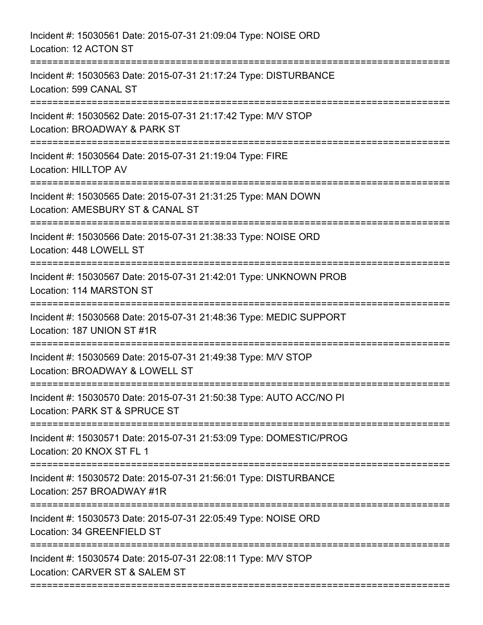| Incident #: 15030561 Date: 2015-07-31 21:09:04 Type: NOISE ORD<br>Location: 12 ACTON ST                                              |
|--------------------------------------------------------------------------------------------------------------------------------------|
| Incident #: 15030563 Date: 2015-07-31 21:17:24 Type: DISTURBANCE<br>Location: 599 CANAL ST                                           |
| Incident #: 15030562 Date: 2015-07-31 21:17:42 Type: M/V STOP<br>Location: BROADWAY & PARK ST<br>----------------------------------- |
| Incident #: 15030564 Date: 2015-07-31 21:19:04 Type: FIRE<br><b>Location: HILLTOP AV</b>                                             |
| Incident #: 15030565 Date: 2015-07-31 21:31:25 Type: MAN DOWN<br>Location: AMESBURY ST & CANAL ST                                    |
| Incident #: 15030566 Date: 2015-07-31 21:38:33 Type: NOISE ORD<br>Location: 448 LOWELL ST                                            |
| Incident #: 15030567 Date: 2015-07-31 21:42:01 Type: UNKNOWN PROB<br>Location: 114 MARSTON ST<br>=====================               |
| Incident #: 15030568 Date: 2015-07-31 21:48:36 Type: MEDIC SUPPORT<br>Location: 187 UNION ST #1R                                     |
| Incident #: 15030569 Date: 2015-07-31 21:49:38 Type: M/V STOP<br>Location: BROADWAY & LOWELL ST                                      |
| Incident #: 15030570 Date: 2015-07-31 21:50:38 Type: AUTO ACC/NO PI<br>Location: PARK ST & SPRUCE ST                                 |
| Incident #: 15030571 Date: 2015-07-31 21:53:09 Type: DOMESTIC/PROG<br>Location: 20 KNOX ST FL 1                                      |
| Incident #: 15030572 Date: 2015-07-31 21:56:01 Type: DISTURBANCE<br>Location: 257 BROADWAY #1R                                       |
| Incident #: 15030573 Date: 2015-07-31 22:05:49 Type: NOISE ORD<br>Location: 34 GREENFIELD ST                                         |
| Incident #: 15030574 Date: 2015-07-31 22:08:11 Type: M/V STOP<br>Location: CARVER ST & SALEM ST                                      |
|                                                                                                                                      |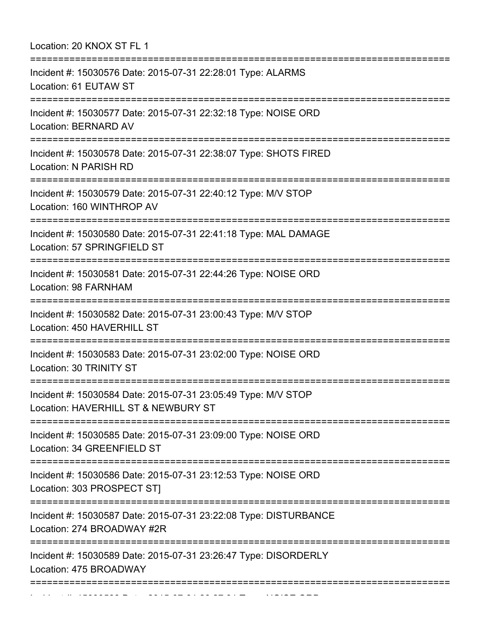Location: 20 KNOX ST FL 1

| Incident #: 15030589 Date: 2015-07-31 23:26:47 Type: DISORDERLY<br>Location: 475 BROADWAY<br>;============                                                                  |
|-----------------------------------------------------------------------------------------------------------------------------------------------------------------------------|
| Incident #: 15030587 Date: 2015-07-31 23:22:08 Type: DISTURBANCE<br>Location: 274 BROADWAY #2R                                                                              |
| Incident #: 15030586 Date: 2015-07-31 23:12:53 Type: NOISE ORD<br>Location: 303 PROSPECT ST]                                                                                |
| Incident #: 15030585 Date: 2015-07-31 23:09:00 Type: NOISE ORD<br>Location: 34 GREENFIELD ST                                                                                |
| Incident #: 15030584 Date: 2015-07-31 23:05:49 Type: M/V STOP<br>Location: HAVERHILL ST & NEWBURY ST                                                                        |
| Incident #: 15030583 Date: 2015-07-31 23:02:00 Type: NOISE ORD<br>Location: 30 TRINITY ST                                                                                   |
| Incident #: 15030582 Date: 2015-07-31 23:00:43 Type: M/V STOP<br>Location: 450 HAVERHILL ST                                                                                 |
| Incident #: 15030581 Date: 2015-07-31 22:44:26 Type: NOISE ORD<br>Location: 98 FARNHAM                                                                                      |
| Incident #: 15030580 Date: 2015-07-31 22:41:18 Type: MAL DAMAGE<br>Location: 57 SPRINGFIELD ST<br>;====================<br>,,,,,,,,,,,,,,,,,,,<br>========================= |
| Incident #: 15030579 Date: 2015-07-31 22:40:12 Type: M/V STOP<br>Location: 160 WINTHROP AV                                                                                  |
| Incident #: 15030578 Date: 2015-07-31 22:38:07 Type: SHOTS FIRED<br>Location: N PARISH RD                                                                                   |
| Incident #: 15030577 Date: 2015-07-31 22:32:18 Type: NOISE ORD<br><b>Location: BERNARD AV</b>                                                                               |
| Incident #: 15030576 Date: 2015-07-31 22:28:01 Type: ALARMS<br>Location: 61 EUTAW ST                                                                                        |